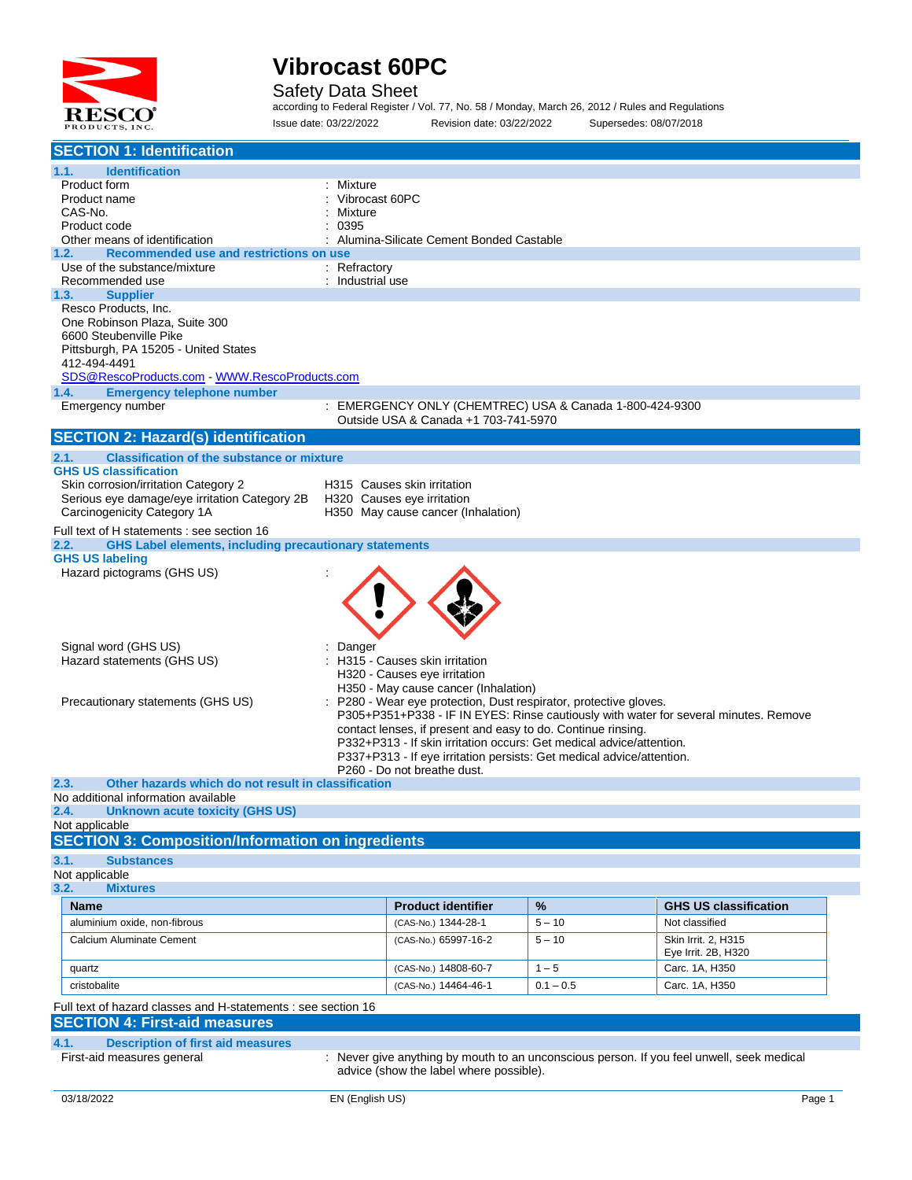

Safety Data Sheet

according to Federal Register / Vol. 77, No. 58 / Monday, March 26, 2012 / Rules and Regulations Issue date: 03/22/2022 Revision date: 03/22/2022 Supersedes: 08/07/2018

| <b>SECTION 1: Identification</b>                                                                            |                                                                       |             |                                                                                           |
|-------------------------------------------------------------------------------------------------------------|-----------------------------------------------------------------------|-------------|-------------------------------------------------------------------------------------------|
| 1.1.<br><b>Identification</b>                                                                               |                                                                       |             |                                                                                           |
| Product form                                                                                                | Mixture                                                               |             |                                                                                           |
| Product name                                                                                                | Vibrocast 60PC                                                        |             |                                                                                           |
| CAS-No.                                                                                                     | Mixture                                                               |             |                                                                                           |
| Product code<br>Other means of identification                                                               | 0395<br>Alumina-Silicate Cement Bonded Castable                       |             |                                                                                           |
| Recommended use and restrictions on use<br>1.2.                                                             |                                                                       |             |                                                                                           |
| Use of the substance/mixture                                                                                | : Refractory                                                          |             |                                                                                           |
| Recommended use                                                                                             | : Industrial use                                                      |             |                                                                                           |
| 1.3.<br><b>Supplier</b>                                                                                     |                                                                       |             |                                                                                           |
| Resco Products, Inc.                                                                                        |                                                                       |             |                                                                                           |
| One Robinson Plaza, Suite 300                                                                               |                                                                       |             |                                                                                           |
| 6600 Steubenville Pike<br>Pittsburgh, PA 15205 - United States                                              |                                                                       |             |                                                                                           |
| 412-494-4491                                                                                                |                                                                       |             |                                                                                           |
| SDS@RescoProducts.com WWW.RescoProducts.com                                                                 |                                                                       |             |                                                                                           |
| 1.4.<br><b>Emergency telephone number</b>                                                                   |                                                                       |             |                                                                                           |
| Emergency number                                                                                            | EMERGENCY ONLY (CHEMTREC) USA & Canada 1-800-424-9300                 |             |                                                                                           |
|                                                                                                             | Outside USA & Canada +1 703-741-5970                                  |             |                                                                                           |
| <b>SECTION 2: Hazard(s) identification</b>                                                                  |                                                                       |             |                                                                                           |
| 2.1.<br><b>Classification of the substance or mixture</b>                                                   |                                                                       |             |                                                                                           |
| <b>GHS US classification</b>                                                                                |                                                                       |             |                                                                                           |
| Skin corrosion/irritation Category 2                                                                        | H315 Causes skin irritation                                           |             |                                                                                           |
| Serious eye damage/eye irritation Category 2B<br>Carcinogenicity Category 1A                                | H320 Causes eye irritation<br>H350 May cause cancer (Inhalation)      |             |                                                                                           |
|                                                                                                             |                                                                       |             |                                                                                           |
| Full text of H statements : see section 16<br><b>GHS Label elements, including precautionary statements</b> |                                                                       |             |                                                                                           |
| 2.2.<br><b>GHS US labeling</b>                                                                              |                                                                       |             |                                                                                           |
| Hazard pictograms (GHS US)                                                                                  |                                                                       |             |                                                                                           |
|                                                                                                             |                                                                       |             |                                                                                           |
|                                                                                                             |                                                                       |             |                                                                                           |
|                                                                                                             |                                                                       |             |                                                                                           |
|                                                                                                             |                                                                       |             |                                                                                           |
| Signal word (GHS US)                                                                                        | Danger                                                                |             |                                                                                           |
| Hazard statements (GHS US)                                                                                  | H315 - Causes skin irritation                                         |             |                                                                                           |
|                                                                                                             | H320 - Causes eye irritation                                          |             |                                                                                           |
|                                                                                                             | H350 - May cause cancer (Inhalation)                                  |             |                                                                                           |
| Precautionary statements (GHS US)                                                                           | P280 - Wear eye protection, Dust respirator, protective gloves.       |             | P305+P351+P338 - IF IN EYES: Rinse cautiously with water for several minutes. Remove      |
|                                                                                                             | contact lenses, if present and easy to do. Continue rinsing.          |             |                                                                                           |
|                                                                                                             | P332+P313 - If skin irritation occurs: Get medical advice/attention.  |             |                                                                                           |
|                                                                                                             | P337+P313 - If eye irritation persists: Get medical advice/attention. |             |                                                                                           |
|                                                                                                             | P260 - Do not breathe dust.                                           |             |                                                                                           |
| 2.3.<br>Other hazards which do not result in classification                                                 |                                                                       |             |                                                                                           |
| No additional information available<br><b>Unknown acute toxicity (GHS US)</b>                               |                                                                       |             |                                                                                           |
| 2.4.<br>Not applicable                                                                                      |                                                                       |             |                                                                                           |
| <b>SECTION 3: Composition/Information on ingredients</b>                                                    |                                                                       |             |                                                                                           |
|                                                                                                             |                                                                       |             |                                                                                           |
| 3.1.<br><b>Substances</b><br>Not applicable                                                                 |                                                                       |             |                                                                                           |
| 3.2.<br><b>Mixtures</b>                                                                                     |                                                                       |             |                                                                                           |
| <b>Name</b>                                                                                                 | <b>Product identifier</b>                                             | %           | <b>GHS US classification</b>                                                              |
| aluminium oxide, non-fibrous                                                                                | (CAS-No.) 1344-28-1                                                   | $5 - 10$    | Not classified                                                                            |
|                                                                                                             |                                                                       |             |                                                                                           |
| Calcium Aluminate Cement                                                                                    | (CAS-No.) 65997-16-2                                                  | $5 - 10$    | Skin Irrit. 2, H315<br>Eye Irrit. 2B, H320                                                |
| quartz                                                                                                      | (CAS-No.) 14808-60-7                                                  | $1 - 5$     | Carc. 1A, H350                                                                            |
| cristobalite                                                                                                | (CAS-No.) 14464-46-1                                                  | $0.1 - 0.5$ | Carc. 1A, H350                                                                            |
|                                                                                                             |                                                                       |             |                                                                                           |
| Full text of hazard classes and H-statements : see section 16                                               |                                                                       |             |                                                                                           |
| <b>SECTION 4: First-aid measures</b>                                                                        |                                                                       |             |                                                                                           |
| 4.1.<br><b>Description of first aid measures</b>                                                            |                                                                       |             |                                                                                           |
| First-aid measures general                                                                                  |                                                                       |             | : Never give anything by mouth to an unconscious person. If you feel unwell, seek medical |
|                                                                                                             | advice (show the label where possible).                               |             |                                                                                           |
| 03/18/2022                                                                                                  | EN (English US)                                                       |             | Page 1                                                                                    |
|                                                                                                             |                                                                       |             |                                                                                           |
|                                                                                                             |                                                                       |             |                                                                                           |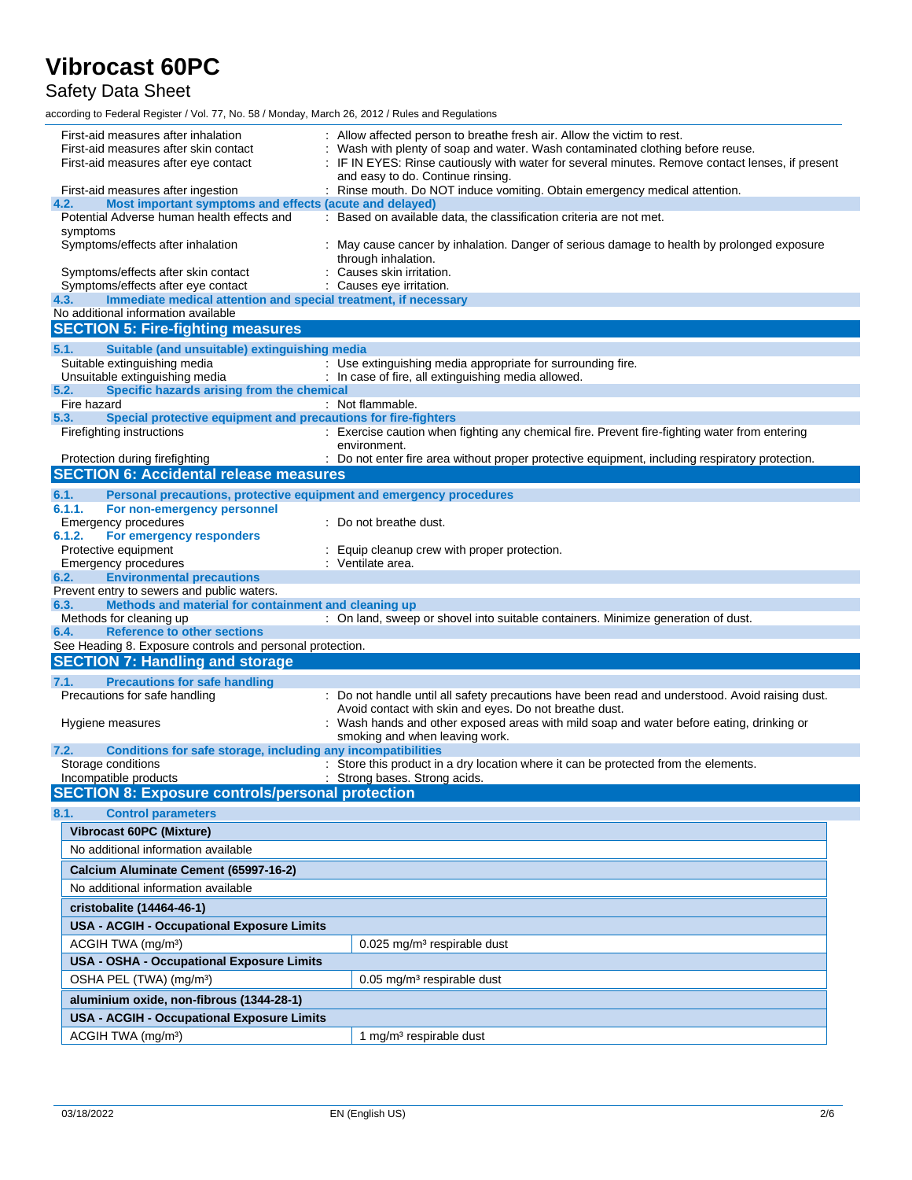Safety Data Sheet

according to Federal Register / Vol. 77, No. 58 / Monday, March 26, 2012 / Rules and Regulations

| First-aid measures after inhalation<br>First-aid measures after skin contact<br>First-aid measures after eye contact<br>First-aid measures after ingestion | Allow affected person to breathe fresh air. Allow the victim to rest.<br>Wash with plenty of soap and water. Wash contaminated clothing before reuse.<br>IF IN EYES: Rinse cautiously with water for several minutes. Remove contact lenses, if present<br>and easy to do. Continue rinsing.<br>: Rinse mouth. Do NOT induce vomiting. Obtain emergency medical attention. |  |  |
|------------------------------------------------------------------------------------------------------------------------------------------------------------|----------------------------------------------------------------------------------------------------------------------------------------------------------------------------------------------------------------------------------------------------------------------------------------------------------------------------------------------------------------------------|--|--|
| Most important symptoms and effects (acute and delayed)<br>4.2.                                                                                            |                                                                                                                                                                                                                                                                                                                                                                            |  |  |
| Potential Adverse human health effects and                                                                                                                 | : Based on available data, the classification criteria are not met.                                                                                                                                                                                                                                                                                                        |  |  |
| symptoms                                                                                                                                                   |                                                                                                                                                                                                                                                                                                                                                                            |  |  |
| Symptoms/effects after inhalation                                                                                                                          | : May cause cancer by inhalation. Danger of serious damage to health by prolonged exposure<br>through inhalation.                                                                                                                                                                                                                                                          |  |  |
| Symptoms/effects after skin contact                                                                                                                        | Causes skin irritation.                                                                                                                                                                                                                                                                                                                                                    |  |  |
| Symptoms/effects after eye contact                                                                                                                         | : Causes eye irritation.                                                                                                                                                                                                                                                                                                                                                   |  |  |
| Immediate medical attention and special treatment, if necessary<br>4.3.                                                                                    |                                                                                                                                                                                                                                                                                                                                                                            |  |  |
| No additional information available                                                                                                                        |                                                                                                                                                                                                                                                                                                                                                                            |  |  |
| <b>SECTION 5: Fire-fighting measures</b>                                                                                                                   |                                                                                                                                                                                                                                                                                                                                                                            |  |  |
| Suitable (and unsuitable) extinguishing media<br>5.1.                                                                                                      |                                                                                                                                                                                                                                                                                                                                                                            |  |  |
| Suitable extinguishing media<br>Unsuitable extinguishing media                                                                                             | : Use extinguishing media appropriate for surrounding fire.<br>: In case of fire, all extinguishing media allowed.                                                                                                                                                                                                                                                         |  |  |
| Specific hazards arising from the chemical<br>5.2.                                                                                                         |                                                                                                                                                                                                                                                                                                                                                                            |  |  |
| Fire hazard                                                                                                                                                | : Not flammable.                                                                                                                                                                                                                                                                                                                                                           |  |  |
| Special protective equipment and precautions for fire-fighters<br>5.3.                                                                                     |                                                                                                                                                                                                                                                                                                                                                                            |  |  |
| Firefighting instructions                                                                                                                                  | : Exercise caution when fighting any chemical fire. Prevent fire-fighting water from entering                                                                                                                                                                                                                                                                              |  |  |
| Protection during firefighting                                                                                                                             | environment.<br>: Do not enter fire area without proper protective equipment, including respiratory protection.                                                                                                                                                                                                                                                            |  |  |
| <b>SECTION 6: Accidental release measures</b>                                                                                                              |                                                                                                                                                                                                                                                                                                                                                                            |  |  |
|                                                                                                                                                            |                                                                                                                                                                                                                                                                                                                                                                            |  |  |
| Personal precautions, protective equipment and emergency procedures<br>6.1.<br>6.1.1.<br>For non-emergency personnel                                       |                                                                                                                                                                                                                                                                                                                                                                            |  |  |
| <b>Emergency procedures</b>                                                                                                                                | : Do not breathe dust.                                                                                                                                                                                                                                                                                                                                                     |  |  |
| 6.1.2.<br>For emergency responders                                                                                                                         |                                                                                                                                                                                                                                                                                                                                                                            |  |  |
| Protective equipment                                                                                                                                       | Equip cleanup crew with proper protection.                                                                                                                                                                                                                                                                                                                                 |  |  |
| Emergency procedures<br><b>Environmental precautions</b><br>6.2.                                                                                           | : Ventilate area.                                                                                                                                                                                                                                                                                                                                                          |  |  |
| Prevent entry to sewers and public waters.                                                                                                                 |                                                                                                                                                                                                                                                                                                                                                                            |  |  |
| Methods and material for containment and cleaning up<br>6.3.                                                                                               |                                                                                                                                                                                                                                                                                                                                                                            |  |  |
| Methods for cleaning up                                                                                                                                    | : On land, sweep or shovel into suitable containers. Minimize generation of dust.                                                                                                                                                                                                                                                                                          |  |  |
| <b>Reference to other sections</b><br>6.4.                                                                                                                 |                                                                                                                                                                                                                                                                                                                                                                            |  |  |
| See Heading 8. Exposure controls and personal protection.                                                                                                  |                                                                                                                                                                                                                                                                                                                                                                            |  |  |
| <b>SECTION 7: Handling and storage</b>                                                                                                                     |                                                                                                                                                                                                                                                                                                                                                                            |  |  |
| 7.1.<br><b>Precautions for safe handling</b>                                                                                                               |                                                                                                                                                                                                                                                                                                                                                                            |  |  |
| Precautions for safe handling                                                                                                                              | : Do not handle until all safety precautions have been read and understood. Avoid raising dust.<br>Avoid contact with skin and eyes. Do not breathe dust.                                                                                                                                                                                                                  |  |  |
| Hygiene measures                                                                                                                                           | : Wash hands and other exposed areas with mild soap and water before eating, drinking or                                                                                                                                                                                                                                                                                   |  |  |
|                                                                                                                                                            | smoking and when leaving work.                                                                                                                                                                                                                                                                                                                                             |  |  |
| Conditions for safe storage, including any incompatibilities<br>7.2.                                                                                       |                                                                                                                                                                                                                                                                                                                                                                            |  |  |
| Storage conditions<br>Incompatible products                                                                                                                | : Store this product in a dry location where it can be protected from the elements.<br>: Strong bases. Strong acids.                                                                                                                                                                                                                                                       |  |  |
| <b>SECTION 8: Exposure controls/personal protection</b>                                                                                                    |                                                                                                                                                                                                                                                                                                                                                                            |  |  |
| 8.1.<br><b>Control parameters</b>                                                                                                                          |                                                                                                                                                                                                                                                                                                                                                                            |  |  |
| <b>Vibrocast 60PC (Mixture)</b>                                                                                                                            |                                                                                                                                                                                                                                                                                                                                                                            |  |  |
| No additional information available                                                                                                                        |                                                                                                                                                                                                                                                                                                                                                                            |  |  |
|                                                                                                                                                            |                                                                                                                                                                                                                                                                                                                                                                            |  |  |
| Calcium Aluminate Cement (65997-16-2)                                                                                                                      |                                                                                                                                                                                                                                                                                                                                                                            |  |  |
| No additional information available                                                                                                                        |                                                                                                                                                                                                                                                                                                                                                                            |  |  |
| cristobalite (14464-46-1)                                                                                                                                  |                                                                                                                                                                                                                                                                                                                                                                            |  |  |
| <b>USA - ACGIH - Occupational Exposure Limits</b>                                                                                                          |                                                                                                                                                                                                                                                                                                                                                                            |  |  |
| ACGIH TWA (mg/m <sup>3</sup> )                                                                                                                             | 0.025 mg/m <sup>3</sup> respirable dust                                                                                                                                                                                                                                                                                                                                    |  |  |
| USA - OSHA - Occupational Exposure Limits                                                                                                                  |                                                                                                                                                                                                                                                                                                                                                                            |  |  |
| OSHA PEL (TWA) (mg/m <sup>3</sup> )                                                                                                                        | 0.05 mg/m <sup>3</sup> respirable dust                                                                                                                                                                                                                                                                                                                                     |  |  |
| aluminium oxide, non-fibrous (1344-28-1)                                                                                                                   |                                                                                                                                                                                                                                                                                                                                                                            |  |  |
| <b>USA - ACGIH - Occupational Exposure Limits</b>                                                                                                          |                                                                                                                                                                                                                                                                                                                                                                            |  |  |
| ACGIH TWA (mg/m <sup>3</sup> )                                                                                                                             |                                                                                                                                                                                                                                                                                                                                                                            |  |  |
|                                                                                                                                                            | 1 mg/m <sup>3</sup> respirable dust                                                                                                                                                                                                                                                                                                                                        |  |  |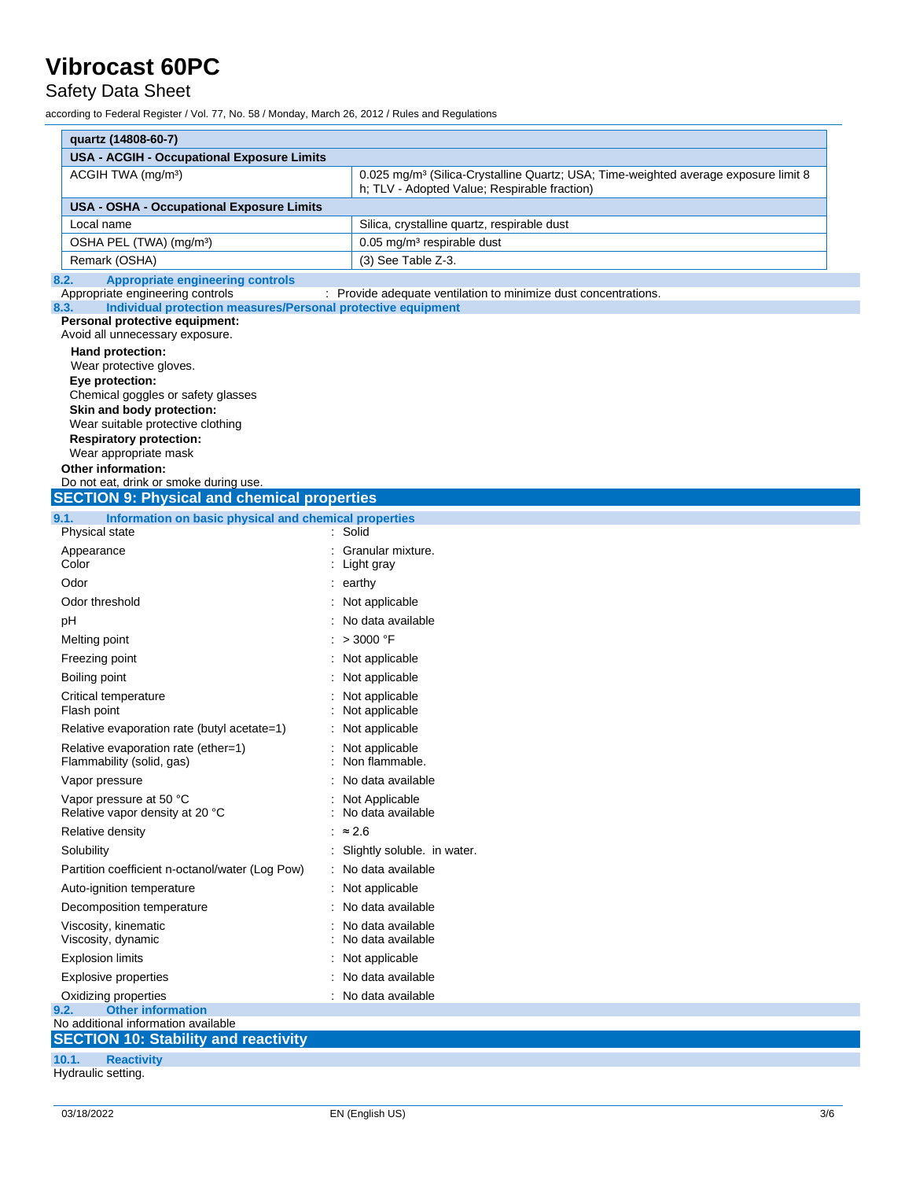### Safety Data Sheet

according to Federal Register / Vol. 77, No. 58 / Monday, March 26, 2012 / Rules and Regulations

| quartz (14808-60-7)                                                                              |                                                                                                                                                 |
|--------------------------------------------------------------------------------------------------|-------------------------------------------------------------------------------------------------------------------------------------------------|
| <b>USA - ACGIH - Occupational Exposure Limits</b>                                                |                                                                                                                                                 |
| ACGIH TWA (mg/m <sup>3</sup> )                                                                   | 0.025 mg/m <sup>3</sup> (Silica-Crystalline Quartz; USA; Time-weighted average exposure limit 8<br>h; TLV - Adopted Value; Respirable fraction) |
| <b>USA - OSHA - Occupational Exposure Limits</b>                                                 |                                                                                                                                                 |
| Local name                                                                                       | Silica, crystalline quartz, respirable dust                                                                                                     |
| OSHA PEL (TWA) (mg/m <sup>3</sup> )                                                              | 0.05 mg/m <sup>3</sup> respirable dust                                                                                                          |
| Remark (OSHA)                                                                                    | (3) See Table Z-3.                                                                                                                              |
| <b>Appropriate engineering controls</b><br>8.2.                                                  |                                                                                                                                                 |
| Appropriate engineering controls<br>Individual protection measures/Personal protective equipment | : Provide adequate ventilation to minimize dust concentrations.                                                                                 |
| 8.3.<br>Personal protective equipment:                                                           |                                                                                                                                                 |
| Avoid all unnecessary exposure.                                                                  |                                                                                                                                                 |
| Hand protection:                                                                                 |                                                                                                                                                 |
| Wear protective gloves.<br>Eye protection:                                                       |                                                                                                                                                 |
| Chemical goggles or safety glasses                                                               |                                                                                                                                                 |
| Skin and body protection:                                                                        |                                                                                                                                                 |
| Wear suitable protective clothing                                                                |                                                                                                                                                 |
| <b>Respiratory protection:</b><br>Wear appropriate mask                                          |                                                                                                                                                 |
| <b>Other information:</b>                                                                        |                                                                                                                                                 |
| Do not eat, drink or smoke during use.                                                           |                                                                                                                                                 |
| <b>SECTION 9: Physical and chemical properties</b>                                               |                                                                                                                                                 |
| Information on basic physical and chemical properties<br>9.1.                                    |                                                                                                                                                 |
| Physical state                                                                                   | : Solid                                                                                                                                         |
| Appearance<br>Color                                                                              | : Granular mixture.<br>: Light gray                                                                                                             |
| Odor                                                                                             | $:$ earthy                                                                                                                                      |
| Odor threshold                                                                                   | : Not applicable                                                                                                                                |
| рH                                                                                               | : No data available                                                                                                                             |
| Melting point                                                                                    | : > 3000 °F                                                                                                                                     |
| Freezing point                                                                                   | : Not applicable                                                                                                                                |
| Boiling point                                                                                    | : Not applicable                                                                                                                                |
| Critical temperature                                                                             | : Not applicable                                                                                                                                |
| Flash point                                                                                      | : Not applicable                                                                                                                                |
| Relative evaporation rate (butyl acetate=1)                                                      | : Not applicable                                                                                                                                |
| Relative evaporation rate (ether=1)                                                              | : Not applicable                                                                                                                                |
| Flammability (solid, gas)                                                                        | Non flammable.                                                                                                                                  |
| Vapor pressure                                                                                   | : No data available                                                                                                                             |
| Vapor pressure at 50 °C                                                                          | : Not Applicable                                                                                                                                |
| Relative vapor density at 20 °C                                                                  | No data available                                                                                                                               |
| Relative density                                                                                 | : $\approx 2.6$                                                                                                                                 |
| Solubility                                                                                       | : Slightly soluble. in water.                                                                                                                   |
| Partition coefficient n-octanol/water (Log Pow)                                                  | : No data available                                                                                                                             |
| Auto-ignition temperature                                                                        | : Not applicable                                                                                                                                |
| Decomposition temperature                                                                        | : No data available                                                                                                                             |
| Viscosity, kinematic<br>Viscosity, dynamic                                                       | : No data available<br>No data available                                                                                                        |
| <b>Explosion limits</b>                                                                          | : Not applicable                                                                                                                                |
| Explosive properties                                                                             | : No data available                                                                                                                             |
| Oxidizing properties                                                                             | : No data available                                                                                                                             |
| <b>Other information</b><br>9.2.                                                                 |                                                                                                                                                 |
| No additional information available<br><b>SECTION 10: Stability and reactivity</b>               |                                                                                                                                                 |
|                                                                                                  |                                                                                                                                                 |
| 10.1.<br><b>Reactivity</b><br>Hydraulic setting.                                                 |                                                                                                                                                 |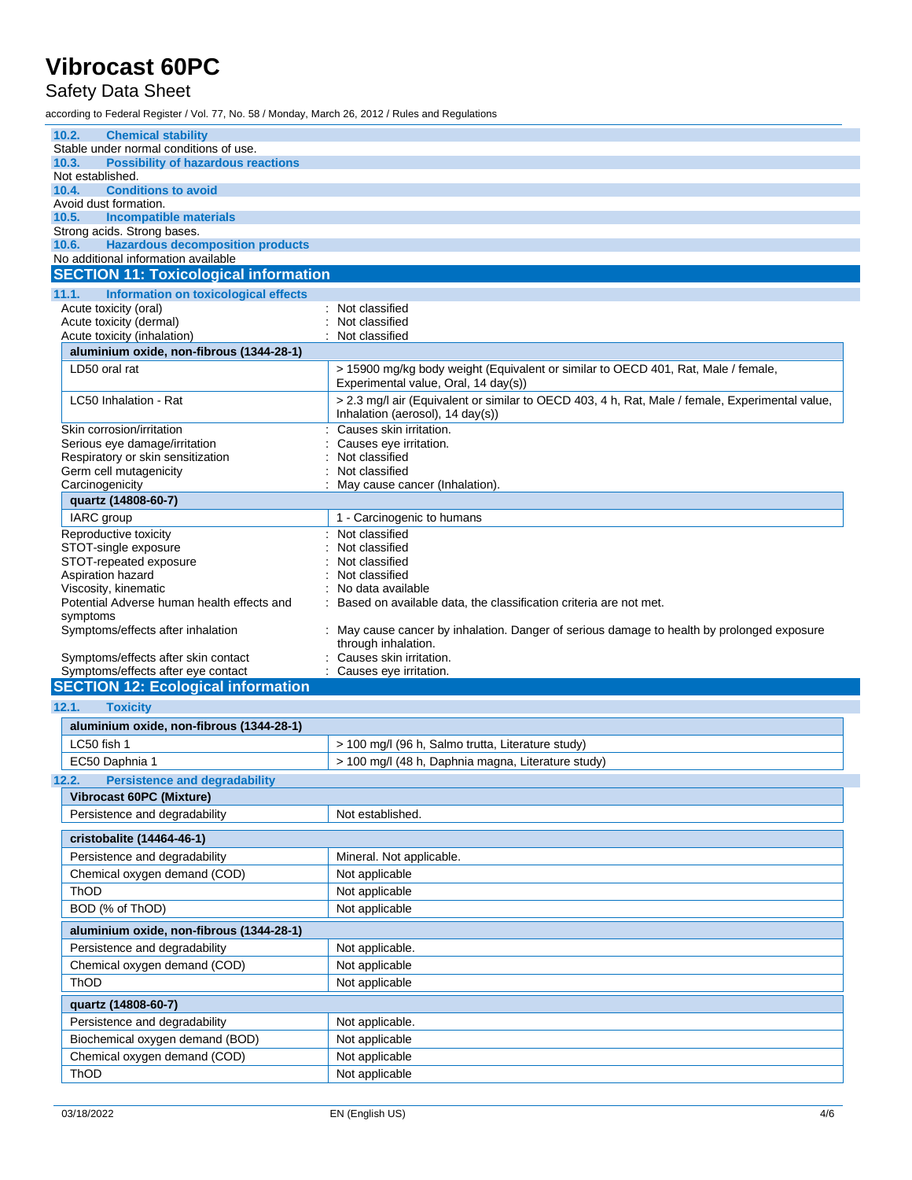### Safety Data Sheet

according to Federal Register / Vol. 77, No. 58 / Monday, March 26, 2012 / Rules and Regulations

| 10.2.<br><b>Chemical stability</b>                                    |                                                                                                                 |
|-----------------------------------------------------------------------|-----------------------------------------------------------------------------------------------------------------|
| Stable under normal conditions of use.                                |                                                                                                                 |
| <b>Possibility of hazardous reactions</b><br>10.3.                    |                                                                                                                 |
| Not established.                                                      |                                                                                                                 |
| <b>Conditions to avoid</b><br>10.4.                                   |                                                                                                                 |
| Avoid dust formation.                                                 |                                                                                                                 |
| 10.5.<br><b>Incompatible materials</b><br>Strong acids. Strong bases. |                                                                                                                 |
| <b>Hazardous decomposition products</b><br>10.6.                      |                                                                                                                 |
| No additional information available                                   |                                                                                                                 |
| <b>SECTION 11: Toxicological information</b>                          |                                                                                                                 |
| <b>Information on toxicological effects</b><br>11.1.                  |                                                                                                                 |
| Acute toxicity (oral)                                                 | : Not classified                                                                                                |
| Acute toxicity (dermal)                                               | Not classified                                                                                                  |
| Acute toxicity (inhalation)                                           | Not classified<br>÷                                                                                             |
| aluminium oxide, non-fibrous (1344-28-1)                              |                                                                                                                 |
| LD50 oral rat                                                         | > 15900 mg/kg body weight (Equivalent or similar to OECD 401, Rat, Male / female,                               |
|                                                                       | Experimental value, Oral, 14 day(s))                                                                            |
| LC50 Inhalation - Rat                                                 | > 2.3 mg/l air (Equivalent or similar to OECD 403, 4 h, Rat, Male / female, Experimental value,                 |
|                                                                       | Inhalation (aerosol), 14 day(s))                                                                                |
| Skin corrosion/irritation                                             | Causes skin irritation.                                                                                         |
| Serious eye damage/irritation                                         | Causes eye irritation.                                                                                          |
| Respiratory or skin sensitization                                     | Not classified                                                                                                  |
| Germ cell mutagenicity                                                | Not classified                                                                                                  |
| Carcinogenicity<br>quartz (14808-60-7)                                | May cause cancer (Inhalation).                                                                                  |
| IARC group                                                            | 1 - Carcinogenic to humans                                                                                      |
| Reproductive toxicity                                                 | Not classified                                                                                                  |
| STOT-single exposure                                                  | Not classified                                                                                                  |
| STOT-repeated exposure                                                | Not classified                                                                                                  |
| Aspiration hazard                                                     | Not classified                                                                                                  |
| Viscosity, kinematic                                                  | No data available                                                                                               |
| Potential Adverse human health effects and                            | Based on available data, the classification criteria are not met.                                               |
| symptoms                                                              |                                                                                                                 |
| Symptoms/effects after inhalation                                     | May cause cancer by inhalation. Danger of serious damage to health by prolonged exposure<br>through inhalation. |
| Symptoms/effects after skin contact                                   | Causes skin irritation.                                                                                         |
| Symptoms/effects after eye contact                                    | Causes eye irritation.                                                                                          |
| <b>SECTION 12: Ecological information</b>                             |                                                                                                                 |
| 12.1.<br><b>Toxicity</b>                                              |                                                                                                                 |
| aluminium oxide, non-fibrous (1344-28-1)                              |                                                                                                                 |
| LC50 fish 1                                                           | > 100 mg/l (96 h, Salmo trutta, Literature study)                                                               |
| EC50 Daphnia 1                                                        | > 100 mg/l (48 h, Daphnia magna, Literature study)                                                              |
|                                                                       |                                                                                                                 |
| <b>Persistence and degradability</b><br>12.2.                         |                                                                                                                 |
| Vibrocast 60PC (Mixture)                                              |                                                                                                                 |
| Persistence and degradability                                         |                                                                                                                 |
|                                                                       | Not established.                                                                                                |
| cristobalite (14464-46-1)                                             |                                                                                                                 |
|                                                                       |                                                                                                                 |
| Persistence and degradability                                         | Mineral. Not applicable.                                                                                        |
| Chemical oxygen demand (COD)                                          | Not applicable                                                                                                  |
| ThOD                                                                  | Not applicable                                                                                                  |
| BOD (% of ThOD)                                                       | Not applicable                                                                                                  |
| aluminium oxide, non-fibrous (1344-28-1)                              |                                                                                                                 |
| Persistence and degradability                                         | Not applicable.                                                                                                 |
| Chemical oxygen demand (COD)                                          | Not applicable                                                                                                  |
| ThOD                                                                  | Not applicable                                                                                                  |
| quartz (14808-60-7)                                                   |                                                                                                                 |
| Persistence and degradability                                         | Not applicable.                                                                                                 |
| Biochemical oxygen demand (BOD)                                       | Not applicable                                                                                                  |
|                                                                       |                                                                                                                 |
| Chemical oxygen demand (COD)<br>ThOD                                  | Not applicable<br>Not applicable                                                                                |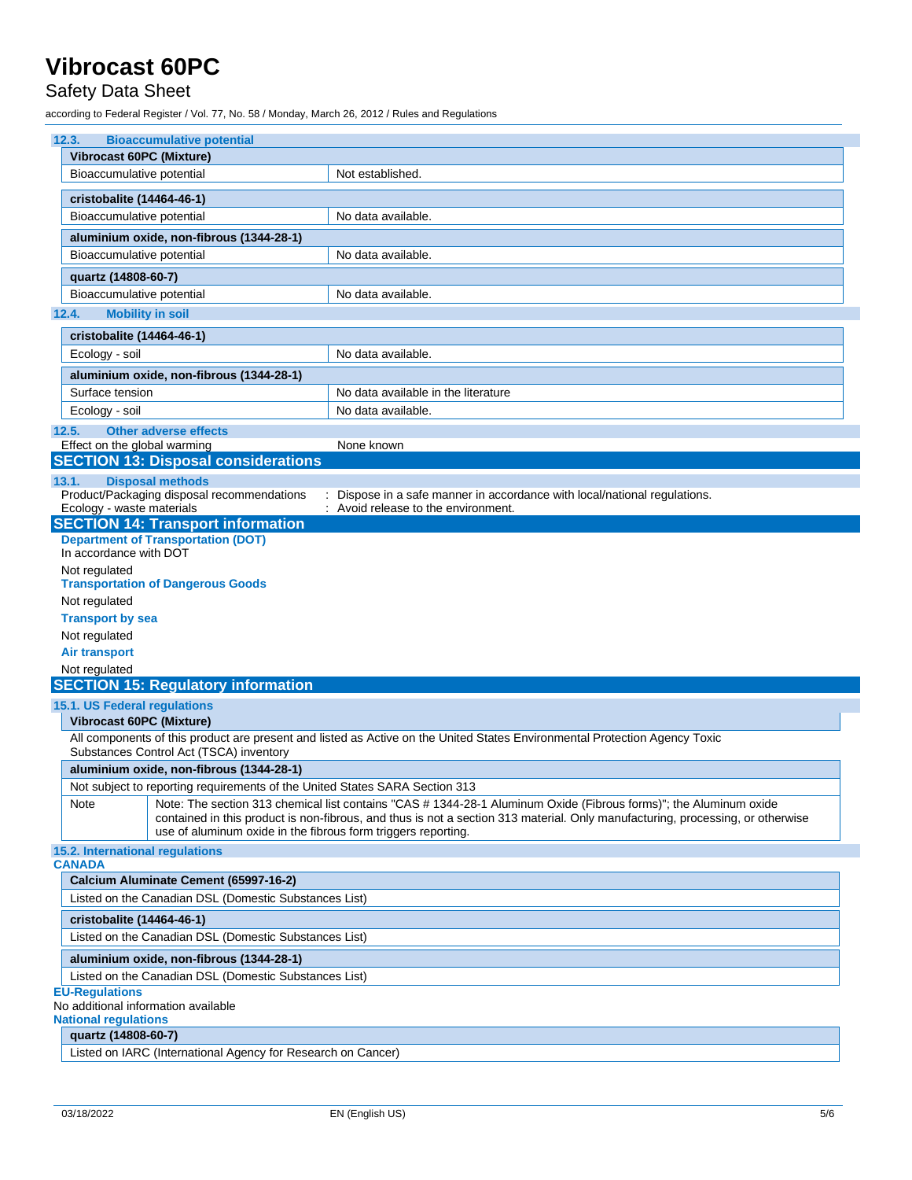### Safety Data Sheet

according to Federal Register / Vol. 77, No. 58 / Monday, March 26, 2012 / Rules and Regulations

| 12.3.<br><b>Bioaccumulative potential</b>                                      |                                                                                                                                |  |
|--------------------------------------------------------------------------------|--------------------------------------------------------------------------------------------------------------------------------|--|
| <b>Vibrocast 60PC (Mixture)</b>                                                |                                                                                                                                |  |
| Bioaccumulative potential                                                      | Not established.                                                                                                               |  |
| cristobalite (14464-46-1)                                                      |                                                                                                                                |  |
| Bioaccumulative potential                                                      | No data available.                                                                                                             |  |
| aluminium oxide, non-fibrous (1344-28-1)                                       |                                                                                                                                |  |
| Bioaccumulative potential                                                      | No data available.                                                                                                             |  |
| quartz (14808-60-7)                                                            |                                                                                                                                |  |
| Bioaccumulative potential                                                      | No data available.                                                                                                             |  |
| 12.4.<br><b>Mobility in soil</b>                                               |                                                                                                                                |  |
| cristobalite (14464-46-1)                                                      |                                                                                                                                |  |
| Ecology - soil                                                                 | No data available.                                                                                                             |  |
|                                                                                |                                                                                                                                |  |
| aluminium oxide, non-fibrous (1344-28-1)<br>Surface tension                    | No data available in the literature                                                                                            |  |
| Ecology - soil                                                                 | No data available.                                                                                                             |  |
|                                                                                |                                                                                                                                |  |
| 12.5.<br><b>Other adverse effects</b><br>Effect on the global warming          | None known                                                                                                                     |  |
| <b>SECTION 13: Disposal considerations</b>                                     |                                                                                                                                |  |
| <b>Disposal methods</b><br>13.1.                                               |                                                                                                                                |  |
| Product/Packaging disposal recommendations                                     | : Dispose in a safe manner in accordance with local/national regulations.                                                      |  |
| Ecology - waste materials                                                      | : Avoid release to the environment.                                                                                            |  |
| <b>SECTION 14: Transport information</b>                                       |                                                                                                                                |  |
| <b>Department of Transportation (DOT)</b><br>In accordance with DOT            |                                                                                                                                |  |
| Not regulated                                                                  |                                                                                                                                |  |
| <b>Transportation of Dangerous Goods</b>                                       |                                                                                                                                |  |
| Not regulated                                                                  |                                                                                                                                |  |
| <b>Transport by sea</b>                                                        |                                                                                                                                |  |
| Not regulated                                                                  |                                                                                                                                |  |
| <b>Air transport</b>                                                           |                                                                                                                                |  |
| Not regulated                                                                  |                                                                                                                                |  |
| <b>SECTION 15: Regulatory information</b>                                      |                                                                                                                                |  |
| 15.1. US Federal regulations                                                   |                                                                                                                                |  |
| <b>Vibrocast 60PC (Mixture)</b>                                                |                                                                                                                                |  |
| Substances Control Act (TSCA) inventory                                        | All components of this product are present and listed as Active on the United States Environmental Protection Agency Toxic     |  |
| aluminium oxide, non-fibrous (1344-28-1)                                       |                                                                                                                                |  |
| Not subject to reporting requirements of the United States SARA Section 313    |                                                                                                                                |  |
| Note                                                                           | Note: The section 313 chemical list contains "CAS #1344-28-1 Aluminum Oxide (Fibrous forms)"; the Aluminum oxide               |  |
|                                                                                | contained in this product is non-fibrous, and thus is not a section 313 material. Only manufacturing, processing, or otherwise |  |
| use of aluminum oxide in the fibrous form triggers reporting.                  |                                                                                                                                |  |
| 15.2. International regulations<br><b>CANADA</b>                               |                                                                                                                                |  |
| Calcium Aluminate Cement (65997-16-2)                                          |                                                                                                                                |  |
| Listed on the Canadian DSL (Domestic Substances List)                          |                                                                                                                                |  |
| cristobalite (14464-46-1)                                                      |                                                                                                                                |  |
| Listed on the Canadian DSL (Domestic Substances List)                          |                                                                                                                                |  |
|                                                                                |                                                                                                                                |  |
| aluminium oxide, non-fibrous (1344-28-1)                                       |                                                                                                                                |  |
| Listed on the Canadian DSL (Domestic Substances List)<br><b>EU-Regulations</b> |                                                                                                                                |  |
| No additional information available                                            |                                                                                                                                |  |
| <b>National regulations</b>                                                    |                                                                                                                                |  |
| quartz (14808-60-7)                                                            |                                                                                                                                |  |

Listed on IARC (International Agency for Research on Cancer)